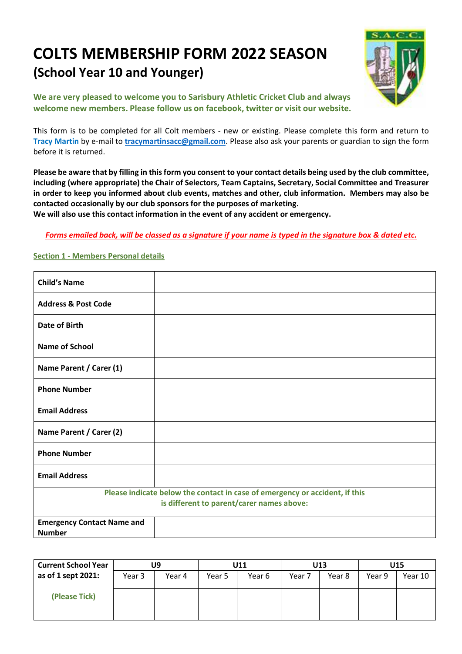# **COLTS MEMBERSHIP FORM 2022 SEASON (School Year 10 and Younger)**



**We are very pleased to welcome you to Sarisbury Athletic Cricket Club and always welcome new members. Please follow us on facebook, twitter or visit our website.**

This form is to be completed for all Colt members - new or existing. Please complete this form and return to **Tracy Martin** by e-mail to **tracymartinsacc@gmail.com**. Please also ask your parents or guardian to sign the form before it is returned.

**Please be aware that by filling in this form you consent to your contact details being used by the club committee, including (where appropriate) the Chair of Selectors, Team Captains, Secretary, Social Committee and Treasurer in order to keep you informed about club events, matches and other, club information. Members may also be contacted occasionally by our club sponsors for the purposes of marketing.**

**We will also use this contact information in the event of any accident or emergency.**

*Forms emailed back, will be classed as a signature if your name is typed in the signature box & dated etc.*

## **Section 1 - Members Personal details**

| <b>Child's Name</b>                                |                                                                             |
|----------------------------------------------------|-----------------------------------------------------------------------------|
| <b>Address &amp; Post Code</b>                     |                                                                             |
| <b>Date of Birth</b>                               |                                                                             |
| <b>Name of School</b>                              |                                                                             |
| Name Parent / Carer (1)                            |                                                                             |
| <b>Phone Number</b>                                |                                                                             |
| <b>Email Address</b>                               |                                                                             |
| Name Parent / Carer (2)                            |                                                                             |
| <b>Phone Number</b>                                |                                                                             |
| <b>Email Address</b>                               |                                                                             |
|                                                    | Please indicate below the contact in case of emergency or accident, if this |
|                                                    | is different to parent/carer names above:                                   |
| <b>Emergency Contact Name and</b><br><b>Number</b> |                                                                             |

| <b>Current School Year</b> | U9     |        | U11    |        |        | U13    | U15    |         |  |
|----------------------------|--------|--------|--------|--------|--------|--------|--------|---------|--|
| as of 1 sept 2021:         | Year 3 | Year 4 | Year 5 | Year 6 | Year 7 | Year 8 | Year 9 | Year 10 |  |
|                            |        |        |        |        |        |        |        |         |  |
| (Please Tick)              |        |        |        |        |        |        |        |         |  |
|                            |        |        |        |        |        |        |        |         |  |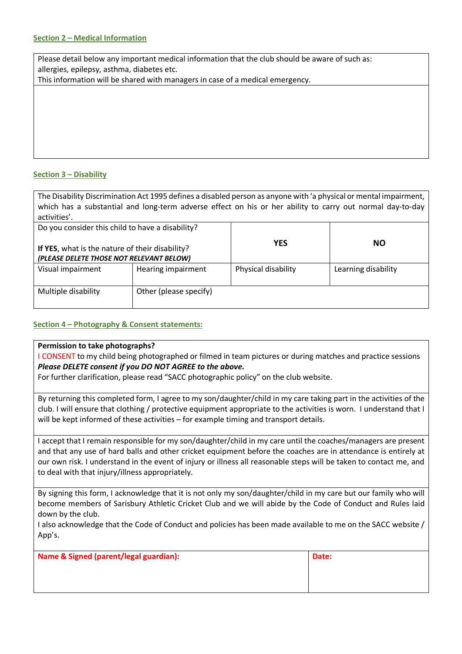## **Section 2 – Medical Information**

Please detail below any important medical information that the club should be aware of such as: allergies, epilepsy, asthma, diabetes etc.

This information will be shared with managers in case of a medical emergency.

## **Section 3 – Disability**

The Disability Discrimination Act 1995 defines a disabled person as anyone with 'a physical or mental impairment, which has a substantial and long-term adverse effect on his or her ability to carry out normal day-to-day activities'.

| Do you consider this child to have a disability?<br>If YES, what is the nature of their disability?<br>(PLEASE DELETE THOSE NOT RELEVANT BELOW) |                        | <b>YES</b>          | NO.                 |
|-------------------------------------------------------------------------------------------------------------------------------------------------|------------------------|---------------------|---------------------|
| Visual impairment                                                                                                                               | Hearing impairment     | Physical disability | Learning disability |
| Multiple disability                                                                                                                             | Other (please specify) |                     |                     |

## **Section 4 – Photography & Consent statements:**

#### **Permission to take photographs?**

I CONSENT to my child being photographed or filmed in team pictures or during matches and practice sessions *Please DELETE consent if you DO NOT AGREE to the above.*

For further clarification, please read "SACC photographic policy" on the club website.

By returning this completed form, I agree to my son/daughter/child in my care taking part in the activities of the club. I will ensure that clothing / protective equipment appropriate to the activities is worn. I understand that I will be kept informed of these activities – for example timing and transport details.

I accept that I remain responsible for my son/daughter/child in my care until the coaches/managers are present and that any use of hard balls and other cricket equipment before the coaches are in attendance is entirely at our own risk. I understand in the event of injury or illness all reasonable steps will be taken to contact me, and to deal with that injury/illness appropriately.

By signing this form, I acknowledge that it is not only my son/daughter/child in my care but our family who will become members of Sarisbury Athletic Cricket Club and we will abide by the Code of Conduct and Rules laid down by the club.

I also acknowledge that the Code of Conduct and policies has been made available to me on the SACC website / App's.

| Name & Signed (parent/legal guardian): | Date: |  |  |
|----------------------------------------|-------|--|--|
|                                        |       |  |  |
|                                        |       |  |  |